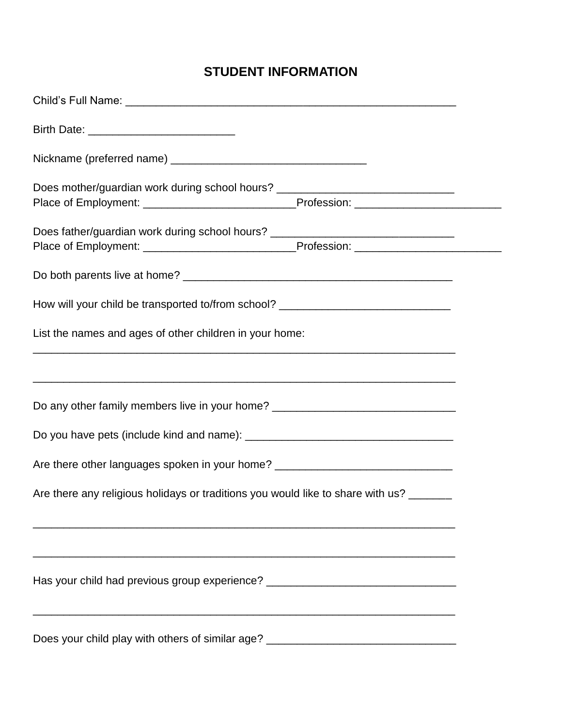## **STUDENT INFORMATION**

| Does mother/guardian work during school hours? _________________________________                                                                                                         |  |  |  |  |  |
|------------------------------------------------------------------------------------------------------------------------------------------------------------------------------------------|--|--|--|--|--|
| Does father/guardian work during school hours? _________________________________<br>Place of Employment: __________________________________Profession: _________________________________ |  |  |  |  |  |
|                                                                                                                                                                                          |  |  |  |  |  |
| How will your child be transported to/from school? _____________________________                                                                                                         |  |  |  |  |  |
| List the names and ages of other children in your home:                                                                                                                                  |  |  |  |  |  |
|                                                                                                                                                                                          |  |  |  |  |  |
| Do any other family members live in your home? _________________________________                                                                                                         |  |  |  |  |  |
|                                                                                                                                                                                          |  |  |  |  |  |
| Are there other languages spoken in your home? _________________________________                                                                                                         |  |  |  |  |  |
| Are there any religious holidays or traditions you would like to share with us? ______                                                                                                   |  |  |  |  |  |
|                                                                                                                                                                                          |  |  |  |  |  |
| Has your child had previous group experience? __________________________________                                                                                                         |  |  |  |  |  |
| Does your child play with others of similar age? _______________________________                                                                                                         |  |  |  |  |  |